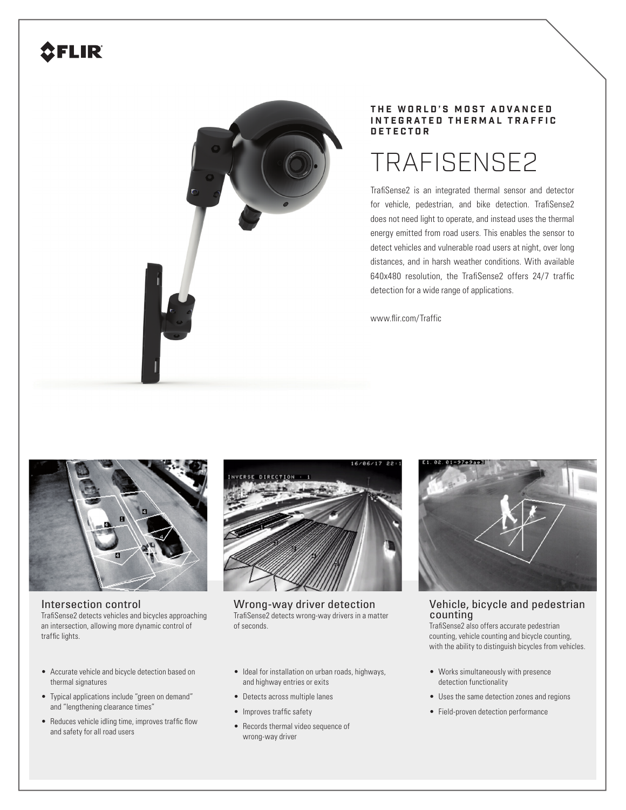# **SFLIR**



## **T H E W O R L D ' S M O S T A D V A N C E D INTEGRATED THERMAL TRAFFIC D E T E C T O R**

# TRAFISENSE2

TrafiSense2 is an integrated thermal sensor and detector for vehicle, pedestrian, and bike detection. TrafiSense2 does not need light to operate, and instead uses the thermal energy emitted from road users. This enables the sensor to detect vehicles and vulnerable road users at night, over long distances, and in harsh weather conditions. With available 640x480 resolution, the TrafiSense2 offers 24/7 traffic detection for a wide range of applications.

www.flir.com/Traffic



Intersection control TrafiSense2 detects vehicles and bicycles approaching an intersection, allowing more dynamic control of traffic lights.

- Accurate vehicle and bicycle detection based on thermal signatures
- Typical applications include "green on demand" and "lengthening clearance times"
- Reduces vehicle idling time, improves traffic flow and safety for all road users



Wrong-way driver detection TrafiSense2 detects wrong-way drivers in a matter of seconds.

- Ideal for installation on urban roads, highways, and highway entries or exits
- Detects across multiple lanes
- Improves traffic safety
- Records thermal video sequence of wrong-way driver



# Vehicle, bicycle and pedestrian counting

TrafiSense2 also offers accurate pedestrian counting, vehicle counting and bicycle counting, with the ability to distinguish bicycles from vehicles.

- Works simultaneously with presence detection functionality
- Uses the same detection zones and regions
- Field-proven detection performance